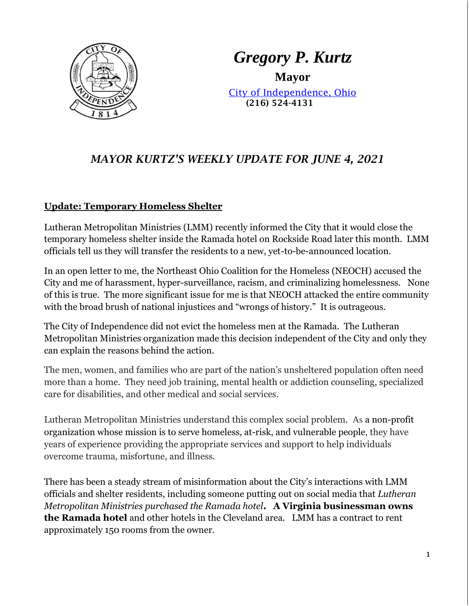

*Gregory P. Kurtz* **Mayor**

[City of Independence, Ohio](file://///user2019/home$/loraa/My%20Documents/www.independenceohio.org) (216) 524-4131

# *MAYOR KURTZ'S WEEKLY UPDATE FOR JUNE 4, 2021*

## **Update: Temporary Homeless Shelter**

Lutheran Metropolitan Ministries (LMM) recently informed the City that it would close the temporary homeless shelter inside the Ramada hotel on Rockside Road later this month. LMM officials tell us they will transfer the residents to a new, yet-to-be-announced location.

In an open letter to me, the Northeast Ohio Coalition for the Homeless (NEOCH) accused the City and me of harassment, hyper-surveillance, racism, and criminalizing homelessness. None of this is true. The more significant issue for me is that NEOCH attacked the entire community with the broad brush of national injustices and "wrongs of history." It is outrageous.

The City of Independence did not evict the homeless men at the Ramada. The Lutheran Metropolitan Ministries organization made this decision independent of the City and only they can explain the reasons behind the action.

The men, women, and families who are part of the nation's unsheltered population often need more than a home. They need job training, mental health or addiction counseling, specialized care for disabilities, and other medical and social services.

Lutheran Metropolitan Ministries understand this complex social problem. As a non-profit organization whose mission is to serve homeless, at-risk, and vulnerable people, they have years of experience providing the appropriate services and support to help individuals overcome trauma, misfortune, and illness.

There has been a steady stream of misinformation about the City's interactions with LMM officials and shelter residents, including someone putting out on social media that *Lutheran Metropolitan Ministries purchased the Ramada hotel***. A Virginia businessman owns the Ramada hotel** and other hotels in the Cleveland area. LMM has a contract to rent approximately 150 rooms from the owner.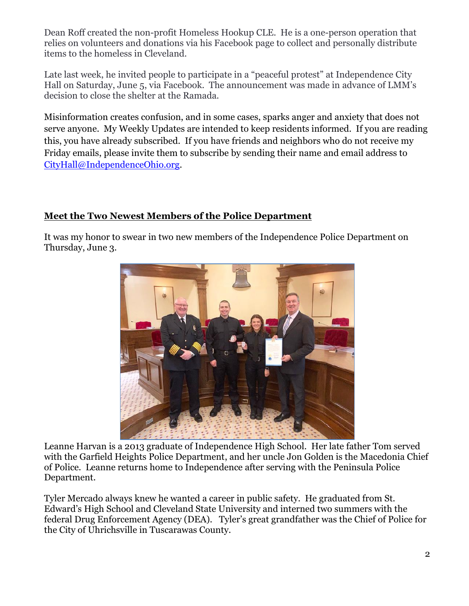Dean Roff created the non-profit Homeless Hookup CLE. He is a one-person operation that relies on volunteers and donations via his Facebook page to collect and personally distribute items to the homeless in Cleveland.

Late last week, he invited people to participate in a "peaceful protest" at Independence City Hall on Saturday, June 5, via Facebook. The announcement was made in advance of LMM's decision to close the shelter at the Ramada.

Misinformation creates confusion, and in some cases, sparks anger and anxiety that does not serve anyone. My Weekly Updates are intended to keep residents informed. If you are reading this, you have already subscribed. If you have friends and neighbors who do not receive my Friday emails, please invite them to subscribe by sending their name and email address to [CityHall@IndependenceOhio.org.](mailto:CityHall@IndependenceOhio.org)

## **Meet the Two Newest Members of the Police Department**

It was my honor to swear in two new members of the Independence Police Department on Thursday, June 3.



Leanne Harvan is a 2013 graduate of Independence High School. Her late father Tom served with the Garfield Heights Police Department, and her uncle Jon Golden is the Macedonia Chief of Police. Leanne returns home to Independence after serving with the Peninsula Police Department.

Tyler Mercado always knew he wanted a career in public safety. He graduated from St. Edward's High School and Cleveland State University and interned two summers with the federal Drug Enforcement Agency (DEA). Tyler's great grandfather was the Chief of Police for the City of Uhrichsville in Tuscarawas County.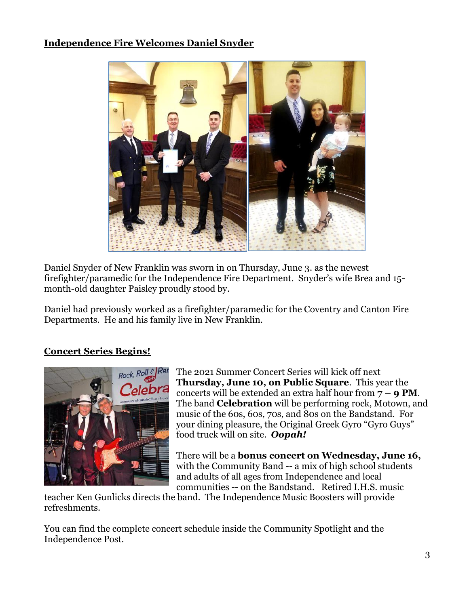## **Independence Fire Welcomes Daniel Snyder**



Daniel Snyder of New Franklin was sworn in on Thursday, June 3. as the newest firefighter/paramedic for the Independence Fire Department. Snyder's wife Brea and 15 month-old daughter Paisley proudly stood by.

Daniel had previously worked as a firefighter/paramedic for the Coventry and Canton Fire Departments. He and his family live in New Franklin.

## **Concert Series Begins!**



The 2021 Summer Concert Series will kick off next **Thursday, June 10, on Public Square**. This year the concerts will be extended an extra half hour from **7 – 9 PM**. The band **Celebration** will be performing rock, Motown, and music of the 60s, 60s, 70s, and 80s on the Bandstand. For your dining pleasure, the Original Greek Gyro "Gyro Guys" food truck will on site. *Oopah!*

There will be a **bonus concert on Wednesday, June 16,** with the Community Band -- a mix of high school students and adults of all ages from Independence and local communities -- on the Bandstand. Retired I.H.S. music

teacher Ken Gunlicks directs the band. The Independence Music Boosters will provide refreshments.

You can find the complete concert schedule inside the Community Spotlight and the Independence Post.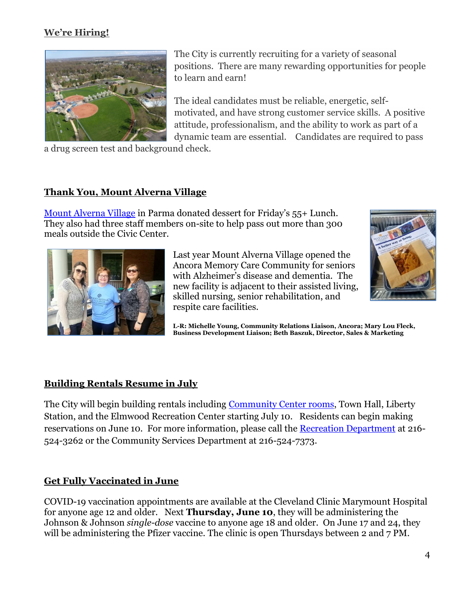# **We're Hiring!**



The City is currently recruiting for a variety of seasonal positions. There are many rewarding opportunities for people to learn and earn!

The ideal candidates must be reliable, energetic, selfmotivated, and have strong customer service skills. A positive attitude, professionalism, and the ability to work as part of a dynamic team are essential. Candidates are required to pass

a drug screen test and background check.

## **Thank You, Mount Alverna Village**

[Mount Alverna Village](https://www.franciscanministries.org/mount-alverna-village/) in Parma donated dessert for Friday's 55+ Lunch. They also had three staff members on-site to help pass out more than 300 meals outside the Civic Center.



Last year Mount Alverna Village opened the Ancora Memory Care Community for seniors with Alzheimer's disease and dementia. The new facility is adjacent to their assisted living, skilled nursing, senior rehabilitation, and respite care facilities.



**L-R: Michelle Young, Community Relations Liaison, Ancora; Mary Lou Fleck, Business Development Liaison; Beth Baszuk, Director, Sales & Marketing** 

#### **Building Rentals Resume in July**

The City will begin building rentals including [Community Center rooms,](https://www.independenceohio.org/departments/community_services/facility_rentals.php) Town Hall, Liberty Station, and the Elmwood Recreation Center starting July 10. Residents can begin making reservations on June 10. For more information, please call the [Recreation Department](https://www.independenceohio.org/departments/recreation/facility_information/index.php) at 216- 524-3262 or the Community Services Department at 216-524-7373.

#### **Get Fully Vaccinated in June**

COVID-19 vaccination appointments are available at the Cleveland Clinic Marymount Hospital for anyone age 12 and older. Next **Thursday, June 10**, they will be administering the Johnson & Johnson *single-dose* vaccine to anyone age 18 and older. On June 17 and 24, they will be administering the Pfizer vaccine. The clinic is open Thursdays between 2 and 7 PM.